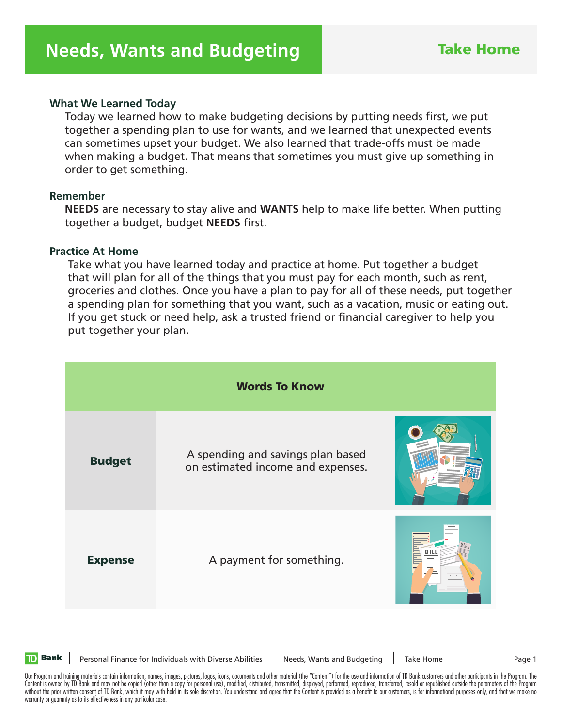### **What We Learned Today**

 Today we learned how to make budgeting decisions by putting needs first, we put together a spending plan to use for wants, and we learned that unexpected events can sometimes upset your budget. We also learned that trade-offs must be made when making a budget. That means that sometimes you must give up something in order to get something.

### **Remember**

 **NEEDS** are necessary to stay alive and **WANTS** help to make life better. When putting together a budget, budget **NEEDS** first.

#### **Practice At Home**

 Take what you have learned today and practice at home. Put together a budget that will plan for all of the things that you must pay for each month, such as rent, groceries and clothes. Once you have a plan to pay for all of these needs, put together a spending plan for something that you want, such as a vacation, music or eating out. If you get stuck or need help, ask a trusted friend or financial caregiver to help you put together your plan.

| <b>Words To Know</b> |                                                                        |  |  |
|----------------------|------------------------------------------------------------------------|--|--|
| <b>Budget</b>        | A spending and savings plan based<br>on estimated income and expenses. |  |  |
| <b>Expense</b>       | A payment for something.                                               |  |  |



Personal Finance for Individuals with Diverse Abilities | Needs, Wants and Budgeting | Take Home Page 1

Our Program and training materials contain information, names, images, pictures, logos, icons, documents and other material (the "Content") for the use and information of TD Bank customers and other participants in the Pro Content is owned by TD Bank and may not be copied (other than a copy for personal use), modified, distributed, transmitted, displayed, performed, reproduced, transferred, resold or republished outside the parameters of the without the prior written consent of TD Bank, which it may with hold in its sole discretion. You understand and agree that the Content is provided as a benefit to our customers, is for informational purposes only, and that warranty or guaranty as to its effectiveness in any particular case.